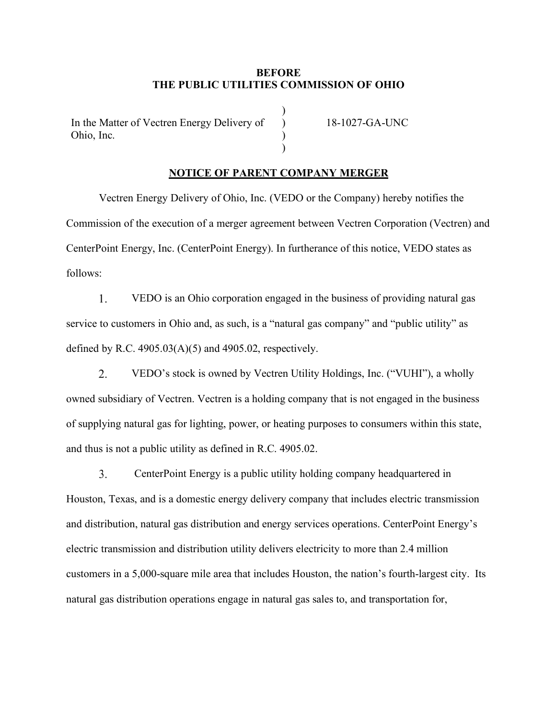## **BEFORE THE PUBLIC UTILITIES COMMISSION OF OHIO**

)  $\mathcal{L}$ )  $\lambda$ 

In the Matter of Vectren Energy Delivery of Ohio, Inc.

18-1027-GA-UNC

## **NOTICE OF PARENT COMPANY MERGER**

Vectren Energy Delivery of Ohio, Inc. (VEDO or the Company) hereby notifies the Commission of the execution of a merger agreement between Vectren Corporation (Vectren) and CenterPoint Energy, Inc. (CenterPoint Energy). In furtherance of this notice, VEDO states as follows:

1. VEDO is an Ohio corporation engaged in the business of providing natural gas service to customers in Ohio and, as such, is a "natural gas company" and "public utility" as defined by R.C.  $4905.03(A)(5)$  and  $4905.02$ , respectively.

2. VEDO's stock is owned by Vectren Utility Holdings, Inc. ("VUHI"), a wholly owned subsidiary of Vectren. Vectren is a holding company that is not engaged in the business of supplying natural gas for lighting, power, or heating purposes to consumers within this state, and thus is not a public utility as defined in R.C. 4905.02.

3. CenterPoint Energy is a public utility holding company headquartered in Houston, Texas, and is a domestic energy delivery company that includes electric transmission and distribution, natural gas distribution and energy services operations. CenterPoint Energy's electric transmission and distribution utility delivers electricity to more than 2.4 million customers in a 5,000-square mile area that includes Houston, the nation's fourth-largest city. Its natural gas distribution operations engage in natural gas sales to, and transportation for,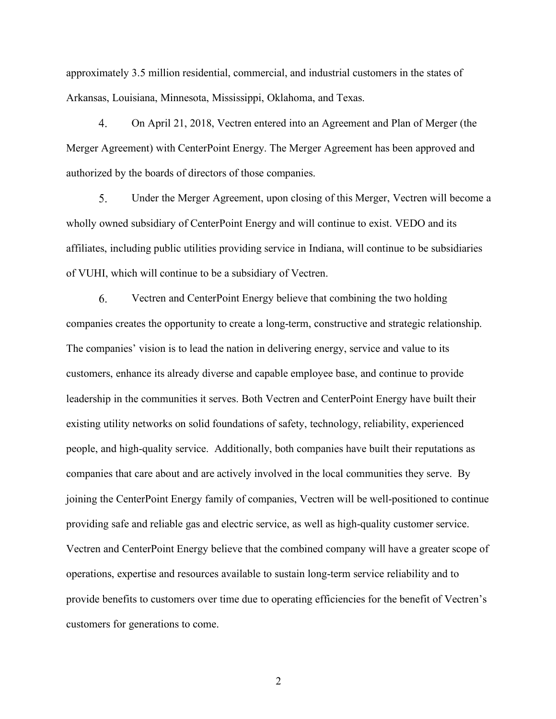approximately 3.5 million residential, commercial, and industrial customers in the states of Arkansas, Louisiana, Minnesota, Mississippi, Oklahoma, and Texas.

 $\overline{4}$ . On April 21, 2018, Vectren entered into an Agreement and Plan of Merger (the Merger Agreement) with CenterPoint Energy. The Merger Agreement has been approved and authorized by the boards of directors of those companies.

5. Under the Merger Agreement, upon closing of this Merger, Vectren will become a wholly owned subsidiary of CenterPoint Energy and will continue to exist. VEDO and its affiliates, including public utilities providing service in Indiana, will continue to be subsidiaries of VUHI, which will continue to be a subsidiary of Vectren.

6. Vectren and CenterPoint Energy believe that combining the two holding companies creates the opportunity to create a long-term, constructive and strategic relationship. The companies' vision is to lead the nation in delivering energy, service and value to its customers, enhance its already diverse and capable employee base, and continue to provide leadership in the communities it serves. Both Vectren and CenterPoint Energy have built their existing utility networks on solid foundations of safety, technology, reliability, experienced people, and high-quality service. Additionally, both companies have built their reputations as companies that care about and are actively involved in the local communities they serve. By joining the CenterPoint Energy family of companies, Vectren will be well-positioned to continue providing safe and reliable gas and electric service, as well as high-quality customer service. Vectren and CenterPoint Energy believe that the combined company will have a greater scope of operations, expertise and resources available to sustain long-term service reliability and to provide benefits to customers over time due to operating efficiencies for the benefit of Vectren's customers for generations to come.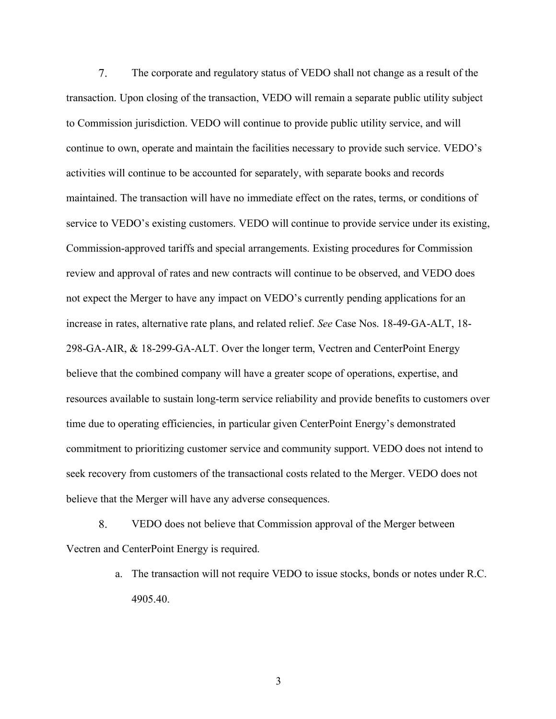7. The corporate and regulatory status of VEDO shall not change as a result of the transaction. Upon closing of the transaction, VEDO will remain a separate public utility subject to Commission jurisdiction. VEDO will continue to provide public utility service, and will continue to own, operate and maintain the facilities necessary to provide such service. VEDO's activities will continue to be accounted for separately, with separate books and records maintained. The transaction will have no immediate effect on the rates, terms, or conditions of service to VEDO's existing customers. VEDO will continue to provide service under its existing, Commission-approved tariffs and special arrangements. Existing procedures for Commission review and approval of rates and new contracts will continue to be observed, and VEDO does not expect the Merger to have any impact on VEDO's currently pending applications for an increase in rates, alternative rate plans, and related relief. *See* Case Nos. 18-49-GA-ALT, 18- 298-GA-AIR, & 18-299-GA-ALT. Over the longer term, Vectren and CenterPoint Energy believe that the combined company will have a greater scope of operations, expertise, and resources available to sustain long-term service reliability and provide benefits to customers over time due to operating efficiencies, in particular given CenterPoint Energy's demonstrated commitment to prioritizing customer service and community support. VEDO does not intend to seek recovery from customers of the transactional costs related to the Merger. VEDO does not believe that the Merger will have any adverse consequences.

8. VEDO does not believe that Commission approval of the Merger between Vectren and CenterPoint Energy is required.

> a. The transaction will not require VEDO to issue stocks, bonds or notes under R.C. 4905.40.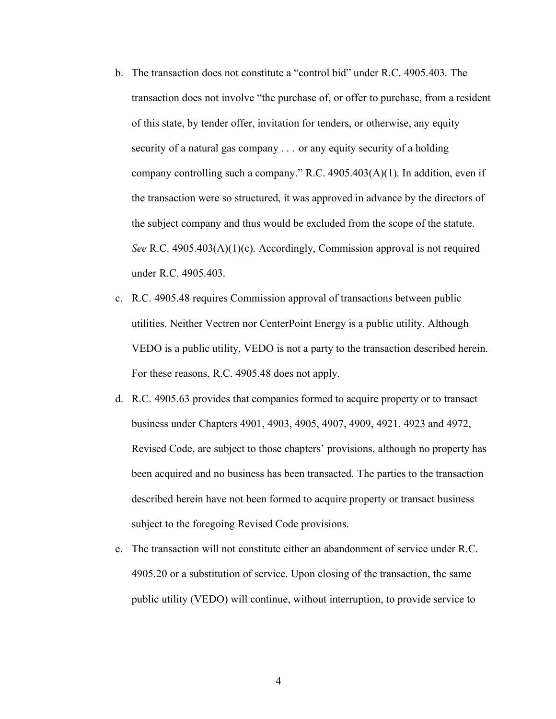- b. The transaction does not constitute a "control bid" under R.C. 4905.403. The transaction does not involve "the purchase of, or offer to purchase, from a resident of this state, by tender offer, invitation for tenders, or otherwise, any equity security of a natural gas company . . . or any equity security of a holding company controlling such a company." R.C. 4905.403(A)(1). In addition, even if the transaction were so structured, it was approved in advance by the directors of the subject company and thus would be excluded from the scope of the statute. *See* R.C. 4905.403(A)(1)(c). Accordingly, Commission approval is not required under R.C. 4905.403.
- c. R.C. 4905.48 requires Commission approval of transactions between public utilities. Neither Vectren nor CenterPoint Energy is a public utility. Although VEDO is a public utility, VEDO is not a party to the transaction described herein. For these reasons, R.C. 4905.48 does not apply.
- d. R.C. 4905.63 provides that companies formed to acquire property or to transact business under Chapters 4901, 4903, 4905, 4907, 4909, 4921. 4923 and 4972, Revised Code, are subject to those chapters' provisions, although no property has been acquired and no business has been transacted. The parties to the transaction described herein have not been formed to acquire property or transact business subject to the foregoing Revised Code provisions.
- e. The transaction will not constitute either an abandonment of service under R.C. 4905.20 or a substitution of service. Upon closing of the transaction, the same public utility (VEDO) will continue, without interruption, to provide service to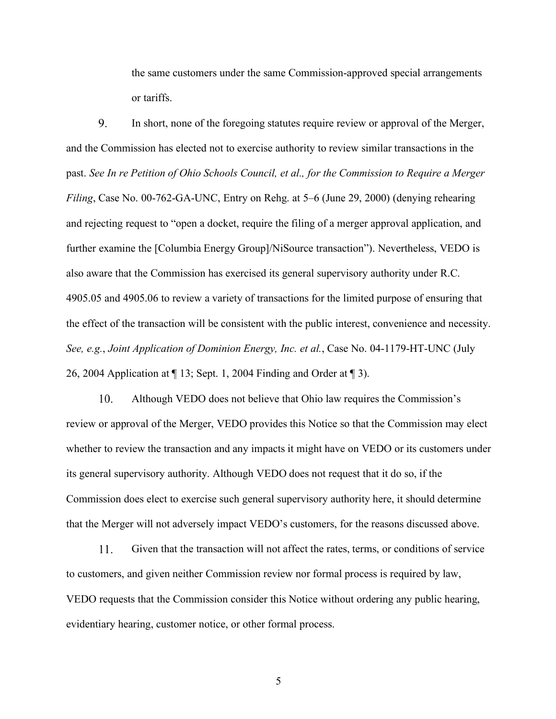the same customers under the same Commission-approved special arrangements or tariffs.

9. In short, none of the foregoing statutes require review or approval of the Merger, and the Commission has elected not to exercise authority to review similar transactions in the past. *See In re Petition of Ohio Schools Council, et al., for the Commission to Require a Merger Filing*, Case No. 00-762-GA-UNC, Entry on Rehg. at 5–6 (June 29, 2000) (denying rehearing and rejecting request to "open a docket, require the filing of a merger approval application, and further examine the [Columbia Energy Group]/NiSource transaction"). Nevertheless, VEDO is also aware that the Commission has exercised its general supervisory authority under R.C. 4905.05 and 4905.06 to review a variety of transactions for the limited purpose of ensuring that the effect of the transaction will be consistent with the public interest, convenience and necessity. *See, e.g.*, *Joint Application of Dominion Energy, Inc. et al.*, Case No. 04-1179-HT-UNC (July 26, 2004 Application at ¶ 13; Sept. 1, 2004 Finding and Order at ¶ 3).

10. Although VEDO does not believe that Ohio law requires the Commission's review or approval of the Merger, VEDO provides this Notice so that the Commission may elect whether to review the transaction and any impacts it might have on VEDO or its customers under its general supervisory authority. Although VEDO does not request that it do so, if the Commission does elect to exercise such general supervisory authority here, it should determine that the Merger will not adversely impact VEDO's customers, for the reasons discussed above.

11. Given that the transaction will not affect the rates, terms, or conditions of service to customers, and given neither Commission review nor formal process is required by law, VEDO requests that the Commission consider this Notice without ordering any public hearing, evidentiary hearing, customer notice, or other formal process.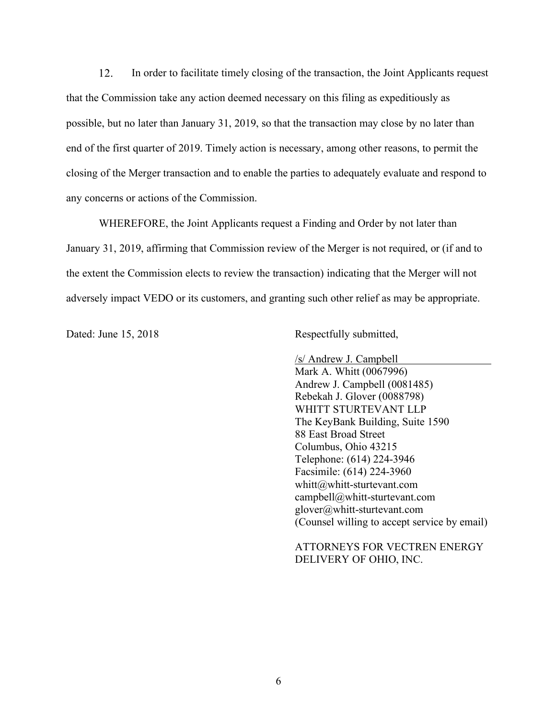12. In order to facilitate timely closing of the transaction, the Joint Applicants request that the Commission take any action deemed necessary on this filing as expeditiously as possible, but no later than January 31, 2019, so that the transaction may close by no later than end of the first quarter of 2019. Timely action is necessary, among other reasons, to permit the closing of the Merger transaction and to enable the parties to adequately evaluate and respond to any concerns or actions of the Commission.

WHEREFORE, the Joint Applicants request a Finding and Order by not later than January 31, 2019, affirming that Commission review of the Merger is not required, or (if and to the extent the Commission elects to review the transaction) indicating that the Merger will not adversely impact VEDO or its customers, and granting such other relief as may be appropriate.

Dated: June 15, 2018 Respectfully submitted,

/s/ Andrew J. Campbell Mark A. Whitt (0067996) Andrew J. Campbell (0081485) Rebekah J. Glover (0088798) WHITT STURTEVANT LLP The KeyBank Building, Suite 1590 88 East Broad Street Columbus, Ohio 43215 Telephone: (614) 224-3946 Facsimile: (614) 224-3960 whitt@whitt-sturtevant.com campbell@whitt-sturtevant.com glover@whitt-sturtevant.com (Counsel willing to accept service by email)

ATTORNEYS FOR VECTREN ENERGY DELIVERY OF OHIO, INC.